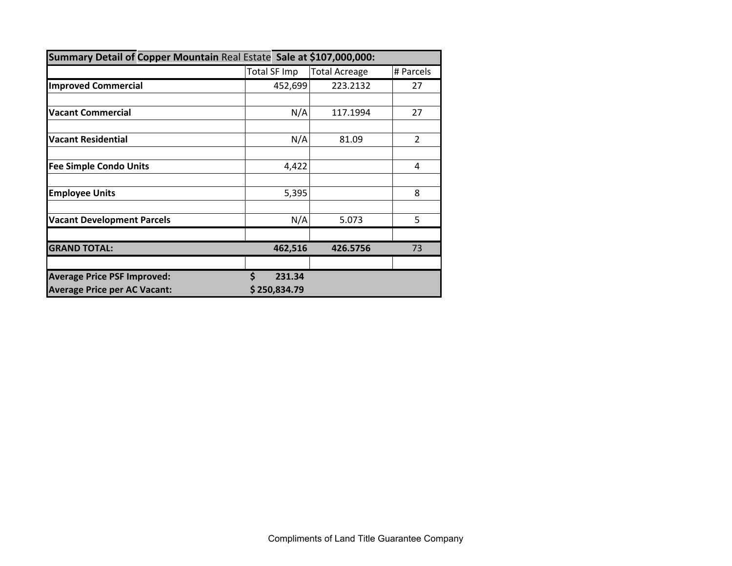| Summary Detail of Copper Mountain Real Estate Sale at \$107,000,000: |              |                      |                |  |  |  |  |  |  |
|----------------------------------------------------------------------|--------------|----------------------|----------------|--|--|--|--|--|--|
|                                                                      | Total SF Imp | <b>Total Acreage</b> | # Parcels      |  |  |  |  |  |  |
| <b>Improved Commercial</b>                                           | 452,699      | 223.2132             | 27             |  |  |  |  |  |  |
|                                                                      |              |                      |                |  |  |  |  |  |  |
| <b>Vacant Commercial</b>                                             | N/A          | 117.1994             | 27             |  |  |  |  |  |  |
|                                                                      |              |                      |                |  |  |  |  |  |  |
| <b>Vacant Residential</b>                                            | N/A          | 81.09                | $\overline{2}$ |  |  |  |  |  |  |
|                                                                      |              |                      |                |  |  |  |  |  |  |
| <b>Fee Simple Condo Units</b>                                        | 4,422        |                      | 4              |  |  |  |  |  |  |
|                                                                      |              |                      |                |  |  |  |  |  |  |
| <b>Employee Units</b>                                                | 5,395        |                      | 8              |  |  |  |  |  |  |
|                                                                      |              |                      |                |  |  |  |  |  |  |
| <b>Vacant Development Parcels</b>                                    | N/A          | 5.073                | 5              |  |  |  |  |  |  |
|                                                                      |              |                      |                |  |  |  |  |  |  |
| <b>GRAND TOTAL:</b>                                                  | 462,516      | 426.5756             | 73             |  |  |  |  |  |  |
|                                                                      |              |                      |                |  |  |  |  |  |  |
| <b>Average Price PSF Improved:</b>                                   | \$<br>231.34 |                      |                |  |  |  |  |  |  |
| <b>Average Price per AC Vacant:</b>                                  | \$250,834.79 |                      |                |  |  |  |  |  |  |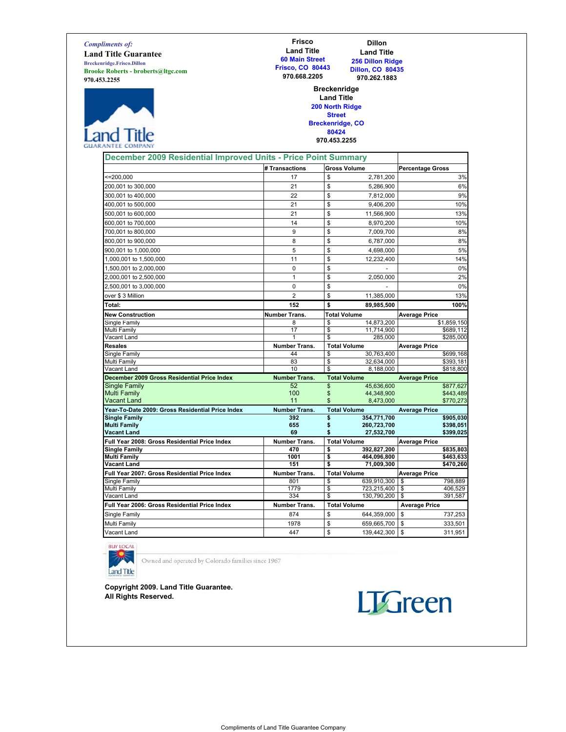Compliments of: Land Title Guarantee Breckenridge.Frisco.Dillon Brooke Roberts - broberts@ltgc.com 970.453.2255



#### Frisco Land Title 60 Main Street Frisco, CO 80443 970.668.2205

Dillon Land Title 256 Dillon Ridge Dillon, CO 80435 970.262.1883

#### Breckenridge Land Title 200 North Ridge

Street Breckenridge, CO 80424

### 970.453.2255

| December 2009 Residential Improved Units - Price Point Summary |                      |                     |                          |                         |                         |
|----------------------------------------------------------------|----------------------|---------------------|--------------------------|-------------------------|-------------------------|
|                                                                | # Transactions       | <b>Gross Volume</b> |                          | <b>Percentage Gross</b> |                         |
| $= 200,000$                                                    | 17                   | \$                  | 2,781,200                |                         | 3%                      |
| 200,001 to 300,000                                             | 21                   | \$                  | 5,286,900                |                         | 6%                      |
| 300,001 to 400,000                                             | 22                   | \$                  | 7,812,000                |                         | 9%                      |
| 400,001 to 500,000                                             | 21                   | \$                  | 9,406,200                |                         | 10%                     |
| 500,001 to 600,000                                             | 21                   | \$                  | 11,566,900               |                         | 13%                     |
| 600,001 to 700,000                                             | 14                   | \$                  | 8,970,200                |                         | 10%                     |
| 700,001 to 800,000                                             | 9                    | \$                  | 7,009,700                |                         | 8%                      |
| 800.001 to 900.000                                             | 8                    | \$                  | 6.787.000                |                         | 8%                      |
| 900,001 to 1,000,000                                           | 5                    | \$                  | 4,698,000                |                         | 5%                      |
| 1,000,001 to 1,500,000                                         | 11                   | \$                  | 12,232,400               |                         | 14%                     |
| 1,500,001 to 2,000,000                                         | 0                    | \$                  |                          |                         | 0%                      |
| 2,000,001 to 2,500,000                                         | $\mathbf{1}$         | \$                  | 2,050,000                |                         | 2%                      |
| 2,500,001 to 3,000,000                                         | $\mathbf 0$          | \$                  |                          |                         | 0%                      |
| over \$3 Million                                               | $\overline{2}$       | \$                  | 11,385,000               |                         | 13%                     |
| Total:                                                         | 152                  | \$                  | 89,985,500               |                         | 100%                    |
| <b>New Construction</b>                                        | <b>Number Trans.</b> | <b>Total Volume</b> |                          | <b>Average Price</b>    |                         |
| Single Family                                                  | 8                    | \$                  | 14,873,200               |                         | $\overline{51,859,150}$ |
| Multi Family                                                   | 17                   | \$                  | 11,714,900               |                         | \$689,112               |
| Vacant Land                                                    | 1                    | \$                  | 285,000                  |                         | \$285,000               |
| <b>Resales</b>                                                 | <b>Number Trans.</b> | <b>Total Volume</b> |                          | <b>Average Price</b>    |                         |
| Single Family                                                  | 44<br>83             | \$<br>\$            | 30.763.400<br>32,634,000 |                         | \$699,168<br>\$393,181  |
| Multi Family<br>Vacant Land                                    | 10                   | \$                  | 8,188,000                |                         | \$818,800               |
| December 2009 Gross Residential Price Index                    | <b>Number Trans.</b> | <b>Total Volume</b> |                          | <b>Average Price</b>    |                         |
| Single Family                                                  | 52                   | \$                  | 45,636,600               |                         | \$877.627               |
| <b>Multi Family</b>                                            | 100                  | \$                  | 44,348,900               |                         | \$443,489               |
| <b>Vacant Land</b>                                             | 11                   | \$                  | 8,473,000                |                         | \$770,273               |
| Year-To-Date 2009: Gross Residential Price Index               | <b>Number Trans.</b> | <b>Total Volume</b> |                          | <b>Average Price</b>    |                         |
| <b>Single Family</b>                                           | 392                  | \$                  | 354,771,700              |                         | \$905,030               |
| <b>Multi Family</b><br><b>Vacant Land</b>                      | 655<br>69            | \$<br>\$            | 260,723,700              |                         | \$398,051               |
| Full Year 2008: Gross Residential Price Index                  | <b>Number Trans.</b> | <b>Total Volume</b> | 27,532,700               |                         | \$399,025               |
| <b>Single Family</b>                                           | 470                  | \$                  | 392,827,200              | <b>Average Price</b>    | \$835,803               |
| <b>Multi Family</b>                                            | 1001                 | \$                  | 464,096,800              |                         | \$463,633               |
| <b>Vacant Land</b>                                             | 151                  | \$                  | 71,009,300               |                         | \$470,260               |
| Full Year 2007: Gross Residential Price Index                  | <b>Number Trans.</b> | <b>Total Volume</b> |                          | <b>Average Price</b>    |                         |
| Single Family                                                  | 801                  | \$                  | 639,910,300              | \$                      | 798,889                 |
| Multi Family                                                   | 1779                 | \$                  | 723,215,400              | \$                      | 406.529                 |
| Vacant Land                                                    | 334                  | \$                  | 130,790,200              | \$                      | 391,587                 |
| Full Year 2006: Gross Residential Price Index                  | <b>Number Trans.</b> | <b>Total Volume</b> |                          | <b>Average Price</b>    |                         |
| Single Family                                                  | 874                  | \$                  | 644,359,000              | \$                      | 737,253                 |
| Multi Family                                                   | 1978                 | \$                  | 659,665,700              | \$                      | 333,501                 |
| Vacant Land                                                    | 447                  | \$                  | 139,442,300              | \$                      | 311,951                 |

**BUY LOCAL** 

**Land Title** 

Owned and operated by Colorado families since 1967

Copyright 2009. Land Title Guarantee. All Rights Reserved.

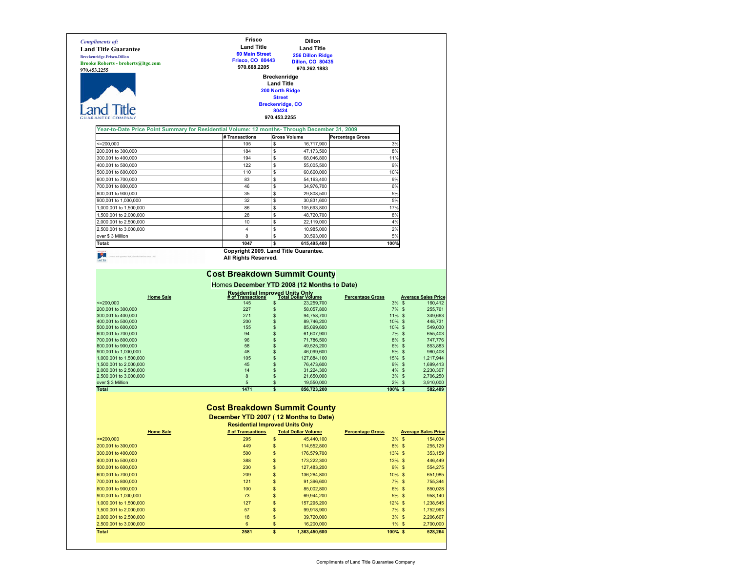|                                                                                               | Frisco<br><b>Land Title</b>                                                      |                        | Dillon                                      |                         |                                                                                                                                                         |
|-----------------------------------------------------------------------------------------------|----------------------------------------------------------------------------------|------------------------|---------------------------------------------|-------------------------|---------------------------------------------------------------------------------------------------------------------------------------------------------|
| <b>Land Title Guarantee</b>                                                                   | <b>60 Main Street</b>                                                            |                        | <b>Land Title</b>                           |                         |                                                                                                                                                         |
| <b>Breckenridge.Frisco.Dillon</b>                                                             | <b>Frisco, CO 80443</b>                                                          |                        | <b>256 Dillon Ridge</b>                     |                         |                                                                                                                                                         |
| <b>Brooke Roberts - broberts@ltgc.com</b>                                                     | 970.668.2205                                                                     |                        | <b>Dillon, CO 80435</b>                     |                         |                                                                                                                                                         |
| 970.453.2255                                                                                  |                                                                                  |                        | 970.262.1883                                |                         |                                                                                                                                                         |
|                                                                                               |                                                                                  | <b>Breckenridge</b>    |                                             |                         |                                                                                                                                                         |
|                                                                                               |                                                                                  | <b>Land Title</b>      |                                             |                         |                                                                                                                                                         |
|                                                                                               |                                                                                  | <b>200 North Ridge</b> |                                             |                         |                                                                                                                                                         |
|                                                                                               |                                                                                  | <b>Street</b>          |                                             |                         |                                                                                                                                                         |
|                                                                                               |                                                                                  |                        | <b>Breckenridge, CO</b>                     |                         |                                                                                                                                                         |
|                                                                                               |                                                                                  | 80424<br>970.453.2255  |                                             |                         |                                                                                                                                                         |
|                                                                                               |                                                                                  |                        |                                             |                         |                                                                                                                                                         |
| Year-to-Date Price Point Summary for Residential Volume: 12 months- Through December 31, 2009 |                                                                                  |                        |                                             |                         |                                                                                                                                                         |
|                                                                                               | #Transactions                                                                    |                        | <b>Gross Volume</b>                         | <b>Percentage Gross</b> |                                                                                                                                                         |
| ≈=200,000                                                                                     | 105                                                                              | \$                     | 16,717,900                                  | 3%                      |                                                                                                                                                         |
| 200,001 to 300,000                                                                            | 184                                                                              | \$                     | 47,173,500                                  | 8%                      |                                                                                                                                                         |
| 300,001 to 400,000                                                                            | 194                                                                              | \$                     | 68,046,800                                  | 11%                     |                                                                                                                                                         |
| 400,001 to 500,000                                                                            | 122                                                                              | s                      | 55,005,500                                  | 9%                      |                                                                                                                                                         |
| 500,001 to 600,000                                                                            | 110                                                                              | s                      | 60,660,000                                  | 10%                     |                                                                                                                                                         |
| 600,001 to 700,000                                                                            | 83                                                                               | \$                     | 54,163,400                                  | 9%                      |                                                                                                                                                         |
| 700,001 to 800,000                                                                            | 46                                                                               | \$                     | 34,976,700                                  | 6%                      |                                                                                                                                                         |
|                                                                                               |                                                                                  |                        |                                             |                         |                                                                                                                                                         |
| 800,001 to 900,000                                                                            | 35                                                                               | \$                     | 29,808,500                                  | 5%                      |                                                                                                                                                         |
| 900,001 to 1,000,000                                                                          | 32                                                                               | \$                     | 30,831,600                                  | 5%                      |                                                                                                                                                         |
| ,000,001 to 1,500,000                                                                         | 86                                                                               | \$                     | 105,693,800                                 | 17%                     |                                                                                                                                                         |
| 1,500,001 to 2,000,000                                                                        | 28                                                                               | \$                     | 48,720,700                                  | 8%                      |                                                                                                                                                         |
| 2,000,001 to 2,500,000                                                                        | 10                                                                               | s                      | 22,119,000                                  | 4%                      |                                                                                                                                                         |
| 2,500,001 to 3,000,000                                                                        | 4                                                                                | s                      | 10,985,000                                  | 2%                      |                                                                                                                                                         |
| over \$3 Million                                                                              | 8                                                                                | s                      | 30,593,000                                  | 5%                      |                                                                                                                                                         |
| Total:                                                                                        | 1047                                                                             | \$                     | 615,495,400                                 | 100%                    |                                                                                                                                                         |
|                                                                                               | Copyright 2009. Land Title Guarantee.                                            |                        |                                             |                         |                                                                                                                                                         |
| rated by Colorado families since 19                                                           | All Rights Reserved.                                                             |                        |                                             |                         |                                                                                                                                                         |
|                                                                                               |                                                                                  |                        | Homes December YTD 2008 (12 Months to Date) |                         |                                                                                                                                                         |
| <b>Home Sale</b>                                                                              | <b>Residential Improved Units Only<br/># of Transactions Total Dollar Volume</b> |                        |                                             | <b>Percentage Gross</b> | <b>Average Sales Price</b>                                                                                                                              |
| $= 200,000$                                                                                   | 145                                                                              | \$                     | 23,259,700                                  | 3%                      | $\mathfrak{s}$                                                                                                                                          |
| 200,001 to 300,000                                                                            | 227                                                                              | \$                     | 58,057,800                                  | $7\%$ \$                | 160,412<br>255,761                                                                                                                                      |
| 300,001 to 400,000                                                                            | 271                                                                              | \$                     | 94,758,700                                  | 11% \$                  | 349,663                                                                                                                                                 |
| 400,001 to 500,000                                                                            | 200<br>155                                                                       | \$                     | 89,746,200                                  | 10%                     | \$<br>448,731                                                                                                                                           |
| 500,001 to 600,000                                                                            |                                                                                  | \$                     | 85,099,600                                  | 10% \$                  |                                                                                                                                                         |
| 600,001 to 700,000<br>700,001 to 800,000                                                      | 94<br>96                                                                         | \$<br>\$               | 61,607,900<br>71,786,500                    | $7\%$ \$<br>8% \$       |                                                                                                                                                         |
| 800,001 to 900,000                                                                            | 58                                                                               | \$                     | 49,525,200                                  | 6% \$                   |                                                                                                                                                         |
| 900,001 to 1,000,000                                                                          | 48                                                                               | \$                     | 46,099,600                                  | 5%                      | \$                                                                                                                                                      |
| 1,000,001 to 1,500,000                                                                        | 105                                                                              | \$                     | 127,884,100                                 | 15% \$                  |                                                                                                                                                         |
| 1,500,001 to 2,000,000                                                                        | 45                                                                               | \$                     | 76,473,600                                  | 9% \$                   |                                                                                                                                                         |
| 2,000,001 to 2,500,000                                                                        | 14                                                                               | \$                     | 31,224,300                                  | $4\%$ \$                |                                                                                                                                                         |
| 2,500,001 to 3,000,000                                                                        | 8                                                                                | \$                     | 21,650,000                                  | $3\%$ \$                |                                                                                                                                                         |
| over \$3 Million                                                                              | 5                                                                                | \$                     | 19,550,000                                  | $2\%$ \$                |                                                                                                                                                         |
| <b>Total</b>                                                                                  | 1471                                                                             | \$                     | 856,723,200                                 | $100\%$ \$              | 549,030<br>655,403<br>747,776<br>853,883<br>960,408<br>1,217,944<br>1,699,413<br>2,230,307<br>2,706,250<br>3,910,000<br>582,409                         |
|                                                                                               |                                                                                  |                        |                                             |                         |                                                                                                                                                         |
|                                                                                               | <b>Cost Breakdown Summit County</b>                                              |                        |                                             |                         |                                                                                                                                                         |
|                                                                                               |                                                                                  |                        |                                             |                         |                                                                                                                                                         |
|                                                                                               | December YTD 2007 (12 Months to Date)                                            |                        |                                             |                         |                                                                                                                                                         |
|                                                                                               | <b>Residential Improved Units Only</b>                                           |                        |                                             |                         |                                                                                                                                                         |
| <b>Home Sale</b><br>$= 200,000$                                                               | # of Transactions<br>295                                                         |                        | <b>Total Dollar Volume</b>                  | <b>Percentage Gross</b> |                                                                                                                                                         |
|                                                                                               |                                                                                  | \$                     | 45,440,100                                  | 3% \$                   |                                                                                                                                                         |
| 200,001 to 300,000                                                                            | 449                                                                              |                        | 114,552,800                                 | 8% \$                   |                                                                                                                                                         |
| 300,001 to 400,000                                                                            | 500                                                                              | \$                     | 176,579,700                                 | 13% \$                  |                                                                                                                                                         |
| 400,001 to 500,000                                                                            | 388                                                                              | \$                     | 173,222,300                                 | 13% \$                  |                                                                                                                                                         |
| 500,001 to 600,000                                                                            | 230                                                                              | \$                     | 127,483,200                                 | $9%$ \$                 |                                                                                                                                                         |
| 600,001 to 700,000                                                                            | 209                                                                              | \$                     | 136,264,800                                 | 10% \$                  |                                                                                                                                                         |
| 700,001 to 800,000                                                                            | 121                                                                              | \$                     | 91,396,600                                  | $7\%$ \$                |                                                                                                                                                         |
| 800,001 to 900,000                                                                            | 100                                                                              | \$                     | 85,002,800                                  | 6% \$                   |                                                                                                                                                         |
| 900,001 to 1,000,000                                                                          | 73                                                                               | \$                     | 69,944,200                                  | $5%$ \$                 |                                                                                                                                                         |
| 1,000,001 to 1,500,000                                                                        | 127                                                                              | \$                     | 157,295,200                                 | $12\%$ \$               |                                                                                                                                                         |
| 1,500,001 to 2,000,000                                                                        | 57                                                                               | \$                     | 99,918,900                                  | $7\%$ \$                | <b>Average Sales Price</b><br>154,034<br>255,129<br>353,159<br>446,449<br>554,275<br>651,985<br>755,344<br>850,028<br>958,140<br>1,238,545<br>1,752,963 |
| 2,000,001 to 2,500,000<br>2,500,001 to 3,000,000                                              | 18<br>6                                                                          | \$<br>\$               | 39,720,000<br>16,200,000                    | 3% \$<br>$1\%$ \$       | 2,206,667<br>2,700,000                                                                                                                                  |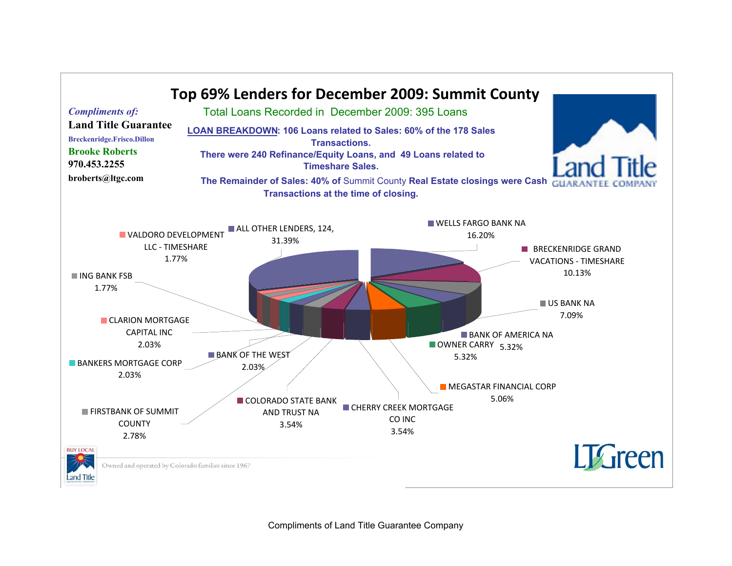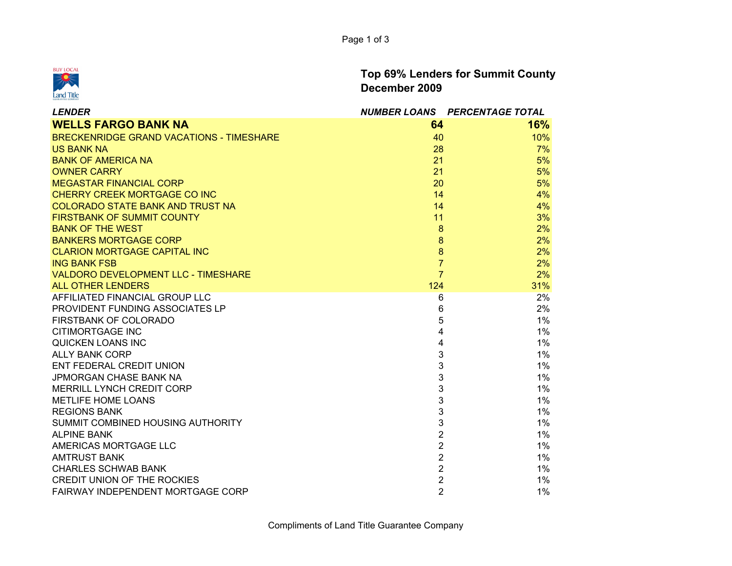

Top 69% Lenders for Summit CountyDecember 2009

| <b>LENDER</b>                                   |                | NUMBER LOANS PERCENTAGE TOTAL |
|-------------------------------------------------|----------------|-------------------------------|
| <b>WELLS FARGO BANK NA</b>                      | 64             | 16%                           |
| <b>BRECKENRIDGE GRAND VACATIONS - TIMESHARE</b> | 40             | 10%                           |
| <b>US BANK NA</b>                               | 28             | 7%                            |
| <b>BANK OF AMERICA NA</b>                       | 21             | 5%                            |
| <b>OWNER CARRY</b>                              | 21             | 5%                            |
| <b>MEGASTAR FINANCIAL CORP</b>                  | 20             | 5%                            |
| <b>CHERRY CREEK MORTGAGE CO INC</b>             | 14             | 4%                            |
| <b>COLORADO STATE BANK AND TRUST NA</b>         | 14             | 4%                            |
| <b>FIRSTBANK OF SUMMIT COUNTY</b>               | 11             | 3%                            |
| <b>BANK OF THE WEST</b>                         | 8              | 2%                            |
| <b>BANKERS MORTGAGE CORP</b>                    | 8              | 2%                            |
| <b>CLARION MORTGAGE CAPITAL INC</b>             | 8              | 2%                            |
| <b>ING BANK FSB</b>                             | $\overline{7}$ | 2%                            |
| <b>VALDORO DEVELOPMENT LLC - TIMESHARE</b>      | $\overline{7}$ | 2%                            |
| <b>ALL OTHER LENDERS</b>                        | 124            | 31%                           |
| AFFILIATED FINANCIAL GROUP LLC                  | 6              | 2%                            |
| PROVIDENT FUNDING ASSOCIATES LP                 | 6              | 2%                            |
| FIRSTBANK OF COLORADO                           | 5              | 1%                            |
| <b>CITIMORTGAGE INC</b>                         | 4              | 1%                            |
| QUICKEN LOANS INC                               | 4              | 1%                            |
| <b>ALLY BANK CORP</b>                           | 3              | $1\%$                         |
| ENT FEDERAL CREDIT UNION                        | 3              | $1\%$                         |
| <b>JPMORGAN CHASE BANK NA</b>                   | 3              | 1%                            |
| MERRILL LYNCH CREDIT CORP                       | 3              | 1%                            |
| <b>METLIFE HOME LOANS</b>                       | 3              | 1%                            |
| <b>REGIONS BANK</b>                             | 3              | 1%                            |
| SUMMIT COMBINED HOUSING AUTHORITY               | 3              | 1%                            |
| <b>ALPINE BANK</b>                              | $\overline{2}$ | 1%                            |
| AMERICAS MORTGAGE LLC                           | $\overline{2}$ | $1\%$                         |
| <b>AMTRUST BANK</b>                             | $\overline{2}$ | 1%                            |
| <b>CHARLES SCHWAB BANK</b>                      | $\overline{2}$ | $1\%$                         |
| <b>CREDIT UNION OF THE ROCKIES</b>              | $\overline{c}$ | 1%                            |
| FAIRWAY INDEPENDENT MORTGAGE CORP               | $\overline{2}$ | 1%                            |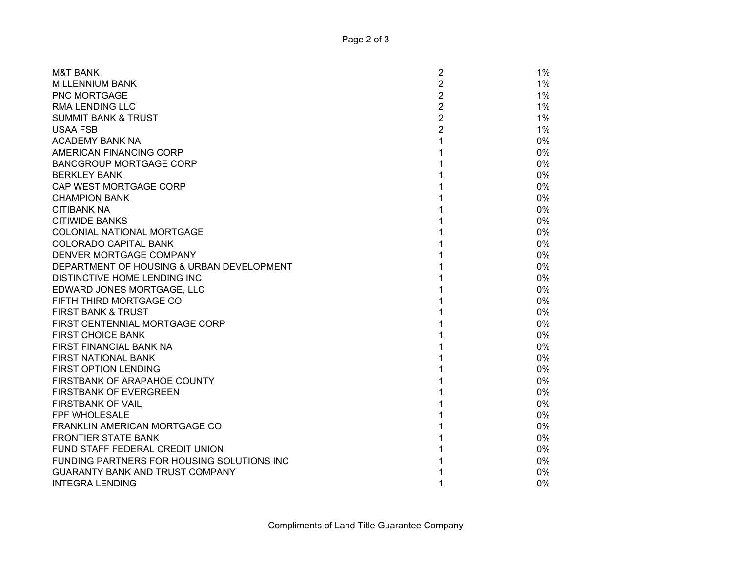| <b>M&amp;T BANK</b>                        | 1%<br>2                 |
|--------------------------------------------|-------------------------|
| <b>MILLENNIUM BANK</b>                     | $\overline{2}$<br>$1\%$ |
| <b>PNC MORTGAGE</b>                        | $\overline{2}$<br>$1\%$ |
| <b>RMA LENDING LLC</b>                     | $\overline{2}$<br>$1\%$ |
| <b>SUMMIT BANK &amp; TRUST</b>             | $\overline{2}$<br>$1\%$ |
| <b>USAA FSB</b>                            | $\overline{2}$<br>$1\%$ |
| <b>ACADEMY BANK NA</b>                     | 1<br>0%                 |
| AMERICAN FINANCING CORP                    | 0%                      |
| <b>BANCGROUP MORTGAGE CORP</b>             | 0%                      |
| <b>BERKLEY BANK</b>                        | 0%                      |
| CAP WEST MORTGAGE CORP                     | 0%                      |
| <b>CHAMPION BANK</b>                       | 0%                      |
| <b>CITIBANK NA</b>                         | 0%                      |
| <b>CITIWIDE BANKS</b>                      | 0%                      |
| COLONIAL NATIONAL MORTGAGE                 | 0%                      |
| <b>COLORADO CAPITAL BANK</b>               | 0%                      |
| DENVER MORTGAGE COMPANY                    | 0%                      |
| DEPARTMENT OF HOUSING & URBAN DEVELOPMENT  | 0%                      |
| DISTINCTIVE HOME LENDING INC               | 0%                      |
| EDWARD JONES MORTGAGE, LLC                 | 0%                      |
| FIFTH THIRD MORTGAGE CO                    | 0%                      |
| FIRST BANK & TRUST                         | 0%                      |
| FIRST CENTENNIAL MORTGAGE CORP             | 0%                      |
| <b>FIRST CHOICE BANK</b>                   | 0%                      |
| FIRST FINANCIAL BANK NA                    | 0%                      |
| FIRST NATIONAL BANK                        | 0%                      |
| <b>FIRST OPTION LENDING</b>                | 0%                      |
| FIRSTBANK OF ARAPAHOE COUNTY               | 0%                      |
| <b>FIRSTBANK OF EVERGREEN</b>              | 0%                      |
| <b>FIRSTBANK OF VAIL</b>                   | 0%                      |
| <b>FPF WHOLESALE</b>                       | 0%                      |
| FRANKLIN AMERICAN MORTGAGE CO              | 0%                      |
| <b>FRONTIER STATE BANK</b>                 | 0%                      |
| FUND STAFF FEDERAL CREDIT UNION            | 0%                      |
| FUNDING PARTNERS FOR HOUSING SOLUTIONS INC | 0%                      |
| <b>GUARANTY BANK AND TRUST COMPANY</b>     | 0%                      |
| <b>INTEGRA LENDING</b>                     | 0%                      |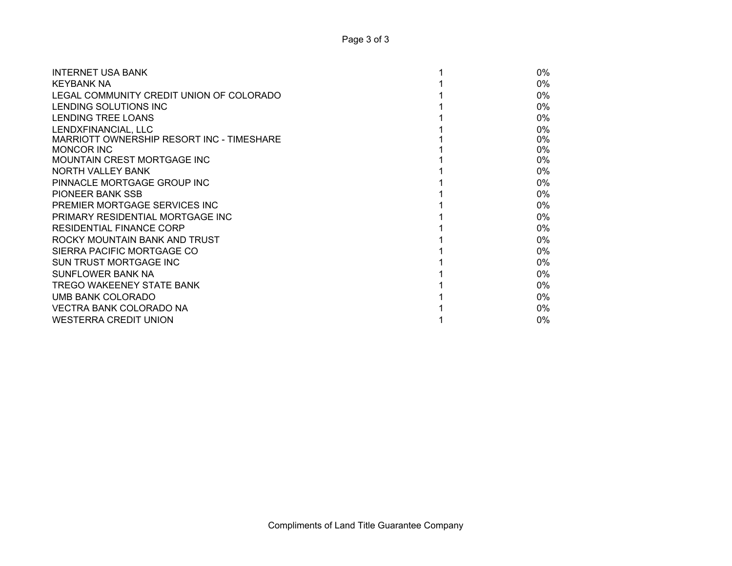| <b>INTERNET USA BANK</b>                  | $0\%$ |
|-------------------------------------------|-------|
| <b>KEYBANK NA</b>                         | 0%    |
| LEGAL COMMUNITY CREDIT UNION OF COLORADO  | $0\%$ |
| LENDING SOLUTIONS INC                     | $0\%$ |
| LENDING TREE LOANS                        | $0\%$ |
| LENDXFINANCIAL, LLC                       | $0\%$ |
| MARRIOTT OWNERSHIP RESORT INC - TIMESHARE | $0\%$ |
| <b>MONCOR INC</b>                         | 0%    |
| <b>MOUNTAIN CREST MORTGAGE INC</b>        | $0\%$ |
| NORTH VALLEY BANK                         | $0\%$ |
| PINNACLE MORTGAGE GROUP INC               | 0%    |
| <b>PIONEER BANK SSB</b>                   | $0\%$ |
| PREMIER MORTGAGE SERVICES INC             | $0\%$ |
| PRIMARY RESIDENTIAL MORTGAGE INC          | $0\%$ |
| <b>RESIDENTIAL FINANCE CORP</b>           | 0%    |
| ROCKY MOUNTAIN BANK AND TRUST             | 0%    |
| SIERRA PACIFIC MORTGAGE CO                | $0\%$ |
| SUN TRUST MORTGAGE INC                    | $0\%$ |
| SUNFLOWER BANK NA                         | $0\%$ |
| TREGO WAKEENEY STATE BANK                 | $0\%$ |
| UMB BANK COLORADO                         | $0\%$ |
| VECTRA BANK COLORADO NA                   | $0\%$ |
| <b>WESTERRA CREDIT UNION</b>              | $0\%$ |
|                                           |       |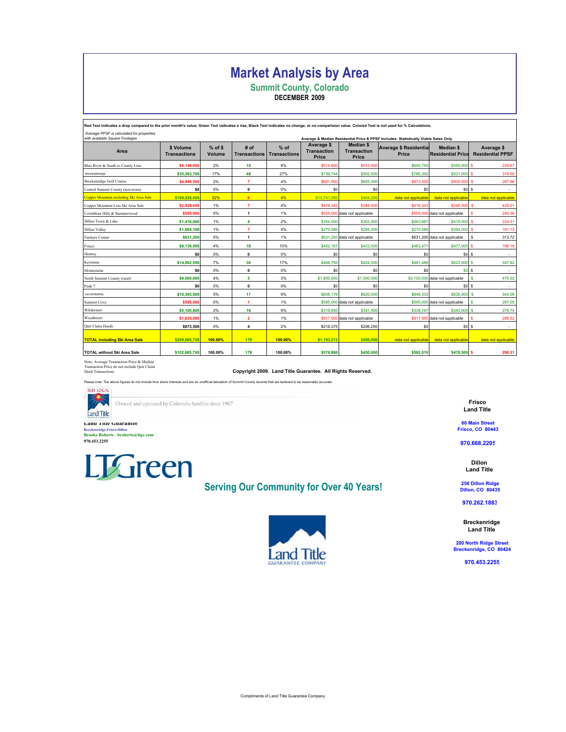# Market Analysis by Area

Summit County, Colorado DECEMBER 2009

ed Text indicates a drop compared to the prior month's value; Green Text indicates a rise, Black Text indicates no change, or no comparision value. Colored Text is not used for % Calculations Average PPSF is calculated for properties Average & Median Residential Price & PPSF Includes: Statistically Viable Sales Only.

| Area                                    | \$ Volume<br><b>Transactions</b> | $%$ of \$<br>Volume | # of<br><b>Transactions</b> | $%$ of<br><b>Transactions</b> | Average \$<br><b>Transaction</b><br>Price | <b>Median \$</b><br><b>Transaction</b><br>Price | <b>Average \$ Residential</b><br><b>Price</b> | <b>Median \$</b><br><b>Residential Price</b> | Average \$<br><b>Residential PPSF</b> |
|-----------------------------------------|----------------------------------|---------------------|-----------------------------|-------------------------------|-------------------------------------------|-------------------------------------------------|-----------------------------------------------|----------------------------------------------|---------------------------------------|
| Blue River & South to County Line       | \$5,146,000                      | 2%                  | 10                          | 6%                            | \$514,600                                 | \$512,000                                       | \$600,750                                     | \$550,000 \$                                 | 229.67                                |
| Breckenridge                            | \$35,363,700                     | 17%                 | 48                          | 27%                           | \$736,744                                 | \$502,500                                       | \$785,302                                     | \$531,500 \$                                 | 316.50                                |
| <b>Breckenridge Golf Course</b>         | \$4,840,500                      | 2%                  | $\overline{7}$              | 4%                            | \$691,500                                 | \$655,000                                       | \$873,500                                     | \$935,000 \$                                 | 287.86                                |
| Central Summit County (non-town)        | \$0                              | 0%                  | $\pmb{0}$                   | 0%                            | \$0                                       | \$0                                             | \$0                                           | \$0S                                         | ٠                                     |
| Copper Mountain including Ski Area Sale | \$109,928,400                    | 52%                 | $\overline{\mathbf{8}}$     | 4%                            | \$13,741,050                              | \$404,250                                       | data not applicable                           | data not applicable                          | data not applicable                   |
| Copper Mountain Less Ski Area Sale      | \$2,928,400                      | 1%                  | $\overline{7}$              | 4%                            | \$418,343                                 | \$348,500                                       | \$418,343                                     | \$348,500 \$                                 | 425.01                                |
| Corinthian Hills & Summerwood           | \$555,000                        | $0\%$               | $\mathbf{1}$                | 1%                            |                                           | \$555,000 data not applicable                   |                                               | \$555,000 data not applicable                | 240.36                                |
| Dillon Town & Lake                      | \$1,416,000                      | 1%                  | 4                           | 2%                            | \$354,000                                 | \$303,000                                       | \$463,667                                     | \$418,000 \$                                 | 224.31                                |
| <b>Dillon Valley</b>                    | \$1,894,100                      | 1%                  | 7                           | 4%                            | \$270,586                                 | \$294,200                                       | \$270,586                                     | \$294,200 \$                                 | 191.15                                |
| Farmers Corner                          | \$631,200                        | 0%                  | $\mathbf{1}$                | 1%                            |                                           | \$631,200 data not applicable                   |                                               | \$631,200 data not applicable                | 313.72<br>l s                         |
| Frisco                                  | \$8,139,000                      | 4%                  | 18                          | 10%                           | \$452,167                                 | \$433,500                                       | \$463,471                                     | \$477,000 \$                                 | 196.19                                |
| Heeney                                  | \$0                              | 0%                  | $\mathbf{0}$                | 0%                            | \$0                                       | \$0                                             | S0                                            | \$0S                                         | $\sim$                                |
| Keystone                                | \$14,062,500                     | 7%                  | 30                          | 17%                           | \$468,750                                 | \$424,500                                       | \$461,466                                     | \$423,000 \$                                 | 347.82                                |
| Montezuma                               | \$0                              | 0%                  | 0                           | 0%                            | \$0                                       | \$0                                             | \$0                                           | \$0 <sub>5</sub>                             |                                       |
| North Summit County (rural)             | \$9,000,000                      | 4%                  | 5                           | 3%                            | \$1,800,000                               | \$1,500,000                                     |                                               | \$3,100,000 data not applicable              | 475.02                                |
| Peak 7                                  | \$0                              | 0%                  | 0                           | 0%                            | \$0                                       | \$0                                             | \$0                                           | \$0S                                         | $\sim$                                |
| Silverthorne                            | \$10,305,000                     | 5%                  | 17                          | 9%                            | \$606,176                                 | \$620,000                                       | \$648,333                                     | \$635,000 \$                                 | 304.09                                |
| Summit Cove                             | \$595,000                        | 0%                  | 1                           | 1%                            |                                           | \$595,000 data not applicable                   |                                               | \$595,000 data not applicable                | 297.05<br>s                           |
| Wildernest                              | \$5,100,800                      | 2%                  | 16                          | 9%                            | \$318,800                                 | \$341,500                                       | \$338,187                                     | \$343,000 \$                                 | 279.74                                |
| Woodmoor                                | \$1,835,000                      | 1%                  | $\overline{\mathbf{2}}$     | 1%                            |                                           | \$917,500 data not applicable                   |                                               | \$917,500 data not applicable                | 286.52                                |
| Quit Claim Deeds                        | \$873,500                        | 0%                  | 4                           | 2%                            | \$218,375                                 | \$206,250                                       | \$0                                           | \$0S                                         | $\sim$                                |
| <b>TOTAL including Ski Area Sale</b>    | \$209,685,700                    | 100.00%             | 179                         | 100.00%                       | \$1,193,213                               | \$450,000                                       | data not applicable                           | data not applicable                          | data not applicable                   |
| <b>TOTAL without Ski Area Sale</b>      | \$102,685,700                    | 100.00%             | 178                         | 100.00%                       | \$576,886                                 | \$450,000                                       | \$592,010                                     | \$478,500 \$                                 | 296.31                                |

Note: Average Transaction Price & Median Transaction Price do not include Quit Claim

Copyright 2009. Land Title Guarantee. All Rights Reserved.

**BUV LOCAL** Owned and operated by Colorado families since 1967

Land Title Guarantee Breckenridge.Frisco.Dillon Brooke Roberts - broberts@ltgc.com 970.453.2255

Land Title



Please note: The above figures do not include time share interests and are an unofficial tabulation of Summit County records that are believed to be reasonably accurate.

Serving Our Community for Over 40 Years!



Frisco Land Title

60 Main Street Frisco, CO 80443

970.668.2205

Dillon Land Title

256 Dillon Ridge Dillon, CO 80435

970.262.1883

Breckenridge Land Title

200 North Ridge Street Breckenridge, CO 80424

970.453.2255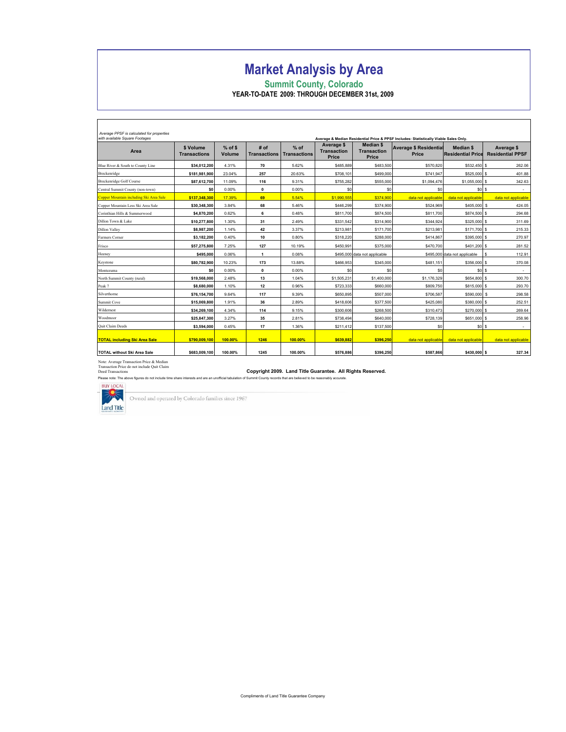# Market Analysis by Area

Summit County, Colorado YEAR-TO-DATE 2009: THROUGH DECEMBER 31st, 2009

| Average PPSF is calculated for properties<br>with available Square Footages<br>Average & Median Residential Price & PPSF Includes: Statistically Viable Sales Only. |                                  |                     |                             |                               |                                           |                                                        |                                        |                                              |                                       |  |
|---------------------------------------------------------------------------------------------------------------------------------------------------------------------|----------------------------------|---------------------|-----------------------------|-------------------------------|-------------------------------------------|--------------------------------------------------------|----------------------------------------|----------------------------------------------|---------------------------------------|--|
| Area                                                                                                                                                                | \$ Volume<br><b>Transactions</b> | $%$ of \$<br>Volume | # of<br><b>Transactions</b> | $%$ of<br><b>Transactions</b> | Average \$<br><b>Transaction</b><br>Price | <b>Median \$</b><br><b>Transaction</b><br><b>Price</b> | <b>Average \$ Residential</b><br>Price | <b>Median \$</b><br><b>Residential Price</b> | Average \$<br><b>Residential PPSF</b> |  |
| Blue River & South to County Line                                                                                                                                   | \$34.012.200                     | 4.31%               | 70                          | 5.62%                         | \$485,889                                 | \$483.500                                              | \$570.820                              | \$532,450 \$                                 | 262.06                                |  |
| Breckenridge                                                                                                                                                        | \$181,981,900                    | 23.04%              | 257                         | 20.63%                        | \$708,101                                 | \$499,000                                              | \$741.947                              | \$525,000 \$                                 | 401.88                                |  |
| <b>Breckenridge Golf Course</b>                                                                                                                                     | \$87,612,700                     | 11.09%              | 116                         | 9.31%                         | \$755,282                                 | \$555,000                                              | \$1,094,476                            | \$1,055,000 \$                               | 342.63                                |  |
| Central Summit County (non-town)                                                                                                                                    | \$O                              | 0.00%               | $\mathbf{0}$                | 0.00%                         | S <sub>0</sub>                            | \$0                                                    | S <sub>0</sub>                         | sol s                                        | $\sim$                                |  |
| Copper Mountain including Ski Area Sale                                                                                                                             | \$137.348.300                    | 17.39%              | 69                          | 5.54%                         | \$1,990,555                               | \$374,900                                              | data not applicable                    | data not applicable                          | data not applicable                   |  |
| Copper Mountain Less Ski Area Sale                                                                                                                                  | \$30,348,300                     | 3.84%               | 68                          | 5.46%                         | \$446.299                                 | \$374,900                                              | \$524.969                              | \$405,000 \$                                 | 424.05                                |  |
| Corinthian Hills & Summerwood                                                                                                                                       | \$4,870,200                      | 0.62%               | 6                           | 0.48%                         | \$811,700                                 | \$874.500                                              | \$811,700                              | \$874,500 \$                                 | 294.68                                |  |
| Dillon Town & Lake                                                                                                                                                  | \$10.277.800                     | 1.30%               | 31                          | 2.49%                         | \$331.542                                 | \$314.900                                              | \$344.924                              | \$325,000 \$                                 | 311.69                                |  |
| <b>Dillon Valley</b>                                                                                                                                                | \$8,987,200                      | 1.14%               | 42                          | 3.37%                         | \$213,981                                 | \$171,700                                              | \$213,981                              | \$171,700 \$                                 | 215.33                                |  |
| Farmers Corner                                                                                                                                                      | \$3,182,200                      | 0.40%               | 10                          | 0.80%                         | \$318,220                                 | \$288,000                                              | \$414.867                              | \$395,000 \$                                 | 270.97                                |  |
| Frisco                                                                                                                                                              | \$57.275.800                     | 7.25%               | 127                         | 10.19%                        | \$450.991                                 | \$375,000                                              | \$470.700                              | \$401,200 \$                                 | 281.52                                |  |
| Heeney                                                                                                                                                              | \$495,000                        | 0.06%               | $\mathbf{1}$                | 0.08%                         |                                           | \$495,000 data not applicable                          |                                        | \$495,000 data not applicable                | 112.91<br>s                           |  |
| Keystone                                                                                                                                                            | \$80,782,900                     | 10.23%              | 173                         | 13.88%                        | \$466,953                                 | \$345,000                                              | \$481,151                              | \$356,000 \$                                 | 370.08                                |  |
| Montezuma                                                                                                                                                           | \$O                              | 0.00%               | $\mathbf{0}$                | 0.00%                         | \$0                                       | \$0                                                    | \$0                                    | SOS                                          | $\sim$                                |  |
| North Summit County (rural)                                                                                                                                         | \$19,568,000                     | 2.48%               | 13                          | 1.04%                         | \$1,505.231                               | \$1,400,000                                            | \$1,176,329                            | \$654,800 \$                                 | 300.70                                |  |
| Peak 7                                                                                                                                                              | \$8,680,000                      | 1.10%               | 12                          | 0.96%                         | \$723,333                                 | \$660,000                                              | \$809,750                              | \$815,000 \$                                 | 293.70                                |  |
| Silverthorne                                                                                                                                                        | \$76,154,700                     | 9.64%               | 117                         | 9.39%                         | \$650.895                                 | \$507,000                                              | \$706.587                              | \$590,000 \$                                 | 298.58                                |  |
| Summit Cove                                                                                                                                                         | \$15,069,800                     | 1.91%               | 36                          | 2.89%                         | \$418,606                                 | \$377,500                                              | \$425,080                              | \$380,000 \$                                 | 252.51                                |  |
| Wildernest                                                                                                                                                          | \$34,269,100                     | 4.34%               | 114                         | 9.15%                         | \$300,606                                 | \$268,500                                              | \$310.473                              | \$270,000 \$                                 | 269.64                                |  |
| Woodmoor                                                                                                                                                            | \$25,847,300                     | 3.27%               | 35                          | 2.81%                         | \$738,494                                 | \$640,000                                              | \$728,139                              | \$651,000 \$                                 | 258.96                                |  |
| Quit Claim Deeds                                                                                                                                                    | \$3,594,000                      | 0.45%               | 17                          | 1.36%                         | \$211.412                                 | \$137,500                                              | \$0                                    | sol s                                        | $\sim$                                |  |
| <b>TOTAL including Ski Area Sale</b>                                                                                                                                | \$790,009,100                    | 100.00%             | 1246                        | 100.00%                       | \$639,882                                 | \$396,250                                              | data not applicable                    | data not applicable                          | data not applicable                   |  |
| <b>TOTAL without Ski Area Sale</b>                                                                                                                                  | \$683,009,100                    | 100.00%             | 1245                        | 100.00%                       | \$576,886                                 | \$396.250                                              | \$587.866                              | \$430,000 \$                                 | 327.34                                |  |

Note: Average Transaction Price & Median Transaction Price do not include Quit Claim

Please note: The above figures do not include time share interests and are are are are are are are are  $\frac{1}{\sqrt{2}}$ 

Copyright 2009. Land Title Guarantee. All Rights Reserved.<br>rests and are an unofficial tabulation of Summit County records that are believed to be reasonably accurate.



Г

Owned and operated by Colorado families since 1967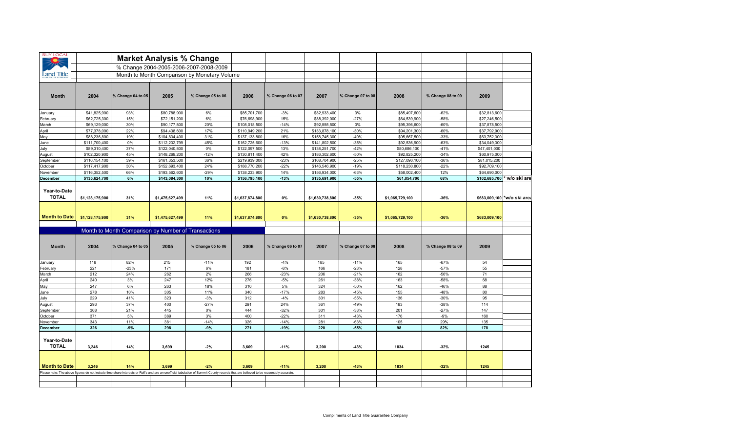| <b>BUY LOCAL</b>             |                 |                                                     | <b>Market Analysis % Change</b> |                                                                                                                                                                                     |                 |                   |                 |                   |                 |                   |                             |               |
|------------------------------|-----------------|-----------------------------------------------------|---------------------------------|-------------------------------------------------------------------------------------------------------------------------------------------------------------------------------------|-----------------|-------------------|-----------------|-------------------|-----------------|-------------------|-----------------------------|---------------|
|                              |                 |                                                     |                                 | % Change 2004-2005-2006-2007-2008-2009                                                                                                                                              |                 |                   |                 |                   |                 |                   |                             |               |
| Land Title                   |                 |                                                     |                                 | Month to Month Comparison by Monetary Volume                                                                                                                                        |                 |                   |                 |                   |                 |                   |                             |               |
| <b>Month</b>                 | 2004            | % Change 04 to 05                                   | 2005                            | % Change 05 to 06                                                                                                                                                                   | 2006            | % Change 06 to 07 | 2007            | % Change 07 to 08 | 2008            | % Change 08 to 09 | 2009                        |               |
| January                      | \$41,825,900    | 93%                                                 | \$80,788,900                    | 6%                                                                                                                                                                                  | \$85,701,700    | $-3%$             | \$82,933,400    | 3%                | \$85,497,600    | $-62%$            | \$32,813,600                |               |
| February                     | \$62,725,300    | 15%                                                 | \$72,151,200                    | 6%                                                                                                                                                                                  | \$76,698,900    | 15%               | \$88,392,000    | $-27%$            | \$64,539,900    | $-58%$            | \$27,246,500                |               |
| March                        | \$69,129,000    | 30%                                                 | \$90,177,800                    | 20%                                                                                                                                                                                 | \$108,018,500   | $-14%$            | \$92,555,500    | 3%                | \$95,396,600    | $-60%$            | \$37,878,500                |               |
| April                        | \$77,378,000    | 22%                                                 | \$94,438,600                    | 17%                                                                                                                                                                                 | \$110,949,200   | 21%               | \$133,878,100   | $-30%$            | \$94,201,300    | $-60%$            | \$37,792,900                |               |
| May                          | \$88,236,800    | 19%                                                 | \$104,834,400                   | 31%                                                                                                                                                                                 | \$137,133,800   | 16%               | \$158,745,300   | $-40%$            | \$95,667,500    | $-33%$            | \$63,752,300                |               |
| June                         | \$111,700,400   | 0%                                                  | \$112,232,799                   | 45%                                                                                                                                                                                 | \$162,725,600   | $-13%$            | \$141,802,500   | $-35%$            | \$92,536,900    | $-63%$            | \$34,049,300                |               |
| July                         | \$89,310,400    | 37%                                                 | \$122,040,800                   | 0%                                                                                                                                                                                  | \$122,097,500   | 13%               | \$138,251,700   | $-42%$            | \$80,686,100    | $-41%$            | \$47,401,000                |               |
| August                       | \$102,320,900   | 45%                                                 | \$148,269,200                   | $-12%$                                                                                                                                                                              | \$130,811,400   | 42%               | \$186,302,600   | $-50%$            | \$92,825,200    | $-34%$            | \$60,975,000                |               |
| September                    | \$116,154,100   | 39%                                                 | \$161,353,500                   | 36%                                                                                                                                                                                 | \$219,939,000   | $-23%$            | \$168,704,900   | $-25%$            | \$127,090,100   | $-36%$            | \$81,015,200                |               |
| October                      | \$117,417,900   | 30%                                                 | \$152,693,400                   | 24%                                                                                                                                                                                 | \$188,770,200   | $-22%$            | \$146,546,900   | $-19%$            | \$118,230,800   | $-22%$            | \$92,709,100                |               |
| November                     | \$116,352,500   | 66%                                                 | \$193,562,600                   | $-29%$                                                                                                                                                                              | \$138,233,900   | 14%               | \$156,934,000   | $-63%$            | \$58,002,400    | 12%               | \$64,690,000                |               |
| <b>December</b>              | \$135,624,700   | 6%                                                  | \$143,084,300                   | 10%                                                                                                                                                                                 | \$156,795,100   | $-13%$            | \$135,691,900   | $-55%$            | \$61,054,700    | 68%               | \$102,685,700               | * w/o ski are |
| Year-to-Date<br><b>TOTAL</b> | \$1,128,175,900 | 31%                                                 | \$1,475,627,499                 | 11%                                                                                                                                                                                 | \$1,637,874,800 | $0\%$             | \$1,630,738,800 | $-35%$            | \$1,065,729,100 | $-36%$            | \$683,009,100 *w/o ski area |               |
| <b>Month to Date</b>         | \$1,128,175,900 | 31%                                                 | \$1,475,627,499                 | 11%                                                                                                                                                                                 | \$1,637,874,800 | 0%                | \$1,630,738,800 | $-35%$            | \$1,065,729,100 | $-36%$            | \$683,009,100               |               |
|                              |                 | Month to Month Comparison by Number of Transactions |                                 |                                                                                                                                                                                     |                 |                   |                 |                   |                 |                   |                             |               |
| <b>Month</b>                 | 2004            | % Change 04 to 05                                   | 2005                            | % Change 05 to 06                                                                                                                                                                   | 2006            | % Change 06 to 07 | 2007            | % Change 07 to 08 | 2008            | % Change 08 to 09 | 2009                        |               |
| January                      | 118             | 82%                                                 | 215                             | $-11%$                                                                                                                                                                              | 192             | $-4%$             | 185             | $-11%$            | 165             | $-67%$            | 54                          |               |
| February                     | 221             | $-23%$                                              | 171                             | 6%                                                                                                                                                                                  | 181             | $-8%$             | 166             | $-23%$            | 128             | $-57%$            | 55                          |               |
| March                        | 212             | 24%                                                 | 262                             | 2%                                                                                                                                                                                  | 266             | $-23%$            | 206             | $-21%$            | 162             | $-56%$            | 71                          |               |
| April                        | 240             | 3%                                                  | 247                             | 12%                                                                                                                                                                                 | 276             | $-5%$             | 261             | $-38%$            | 163             | $-58%$            | 68                          |               |
| May                          | 247             | 6%                                                  | 263                             | 18%                                                                                                                                                                                 | 310             | 5%                | 324             | $-50%$            | 162             | $-46%$            | 88                          |               |
| June                         | 278             | 10%                                                 | 305                             | 11%                                                                                                                                                                                 | 340             | $-17%$            | 283             | $-45%$            | 155             | $-48%$            | 80                          |               |
| July                         | 229             | 41%                                                 | 323                             | $-3%$                                                                                                                                                                               | 312             | $-4%$             | 301             | $-55%$            | 136             | $-30%$            | 95                          |               |
| August                       | 293             | 37%                                                 | 400                             | $-27%$                                                                                                                                                                              | 291             | 24%               | 361             | $-49%$            | 183             | $-38%$            | 114                         |               |
| September                    | 368             | 21%                                                 | 445                             | $0\%$                                                                                                                                                                               | 444             | $-32%$            | 301             | $-33%$            | 201             | $-27%$            | 147                         |               |
| October                      | 371             | 5%                                                  | 389                             | 3%                                                                                                                                                                                  | 400             | $-22%$            | 311             | $-43%$            | 176             | $-9%$             | 160                         |               |
| November                     | 343             | 11%                                                 | 381                             | $-14%$                                                                                                                                                                              | 326             | $-14%$            | 281             | $-63%$            | 105             | 29%               | 135                         |               |
| December                     | 326             | $-9%$                                               | 298                             | $-9%$                                                                                                                                                                               | 271             | $-19%$            | 220             | $-55%$            | 98              | 82%               | 178                         |               |
| Year-to-Date<br><b>TOTAL</b> | 3,246           | 14%                                                 | 3,699                           | $-2%$                                                                                                                                                                               | 3,609           | $-11%$            | 3,200           | $-43%$            | 1834            | $-32%$            | 1245                        |               |
| <b>Month to Date</b>         | 3.246           | 14%                                                 | 3.699                           | $-2%$                                                                                                                                                                               | 3.609           | $-11%$            | 3,200           | $-43%$            | 1834            | $-32%$            | 1245                        |               |
|                              |                 |                                                     |                                 | Please note: The above figures do not include time share interests or Refi's and are an unofficial tabulation of Summit County records that are believed to be reasonably accurate. |                 |                   |                 |                   |                 |                   |                             |               |
|                              |                 |                                                     |                                 |                                                                                                                                                                                     |                 |                   |                 |                   |                 |                   |                             |               |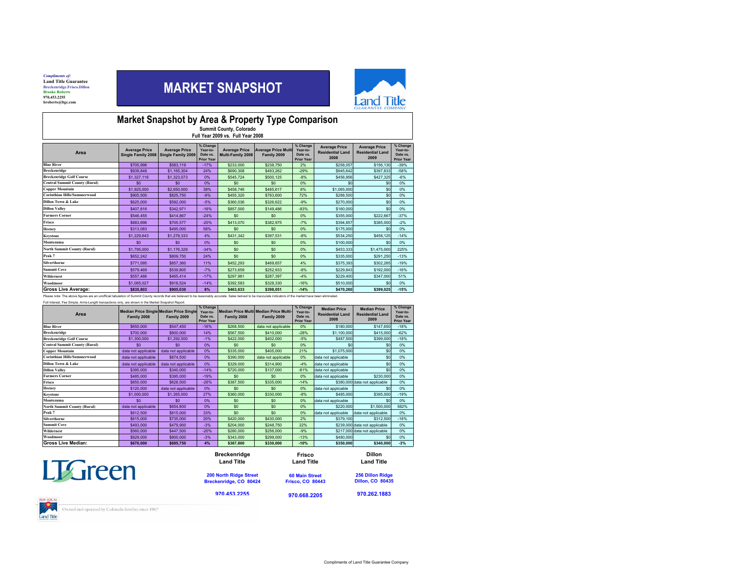*Compliments of:*<br>Land Title Guarantee Breckenridge.Frisco.Dillon Brooke Roberts 970.453.2255broberts@ltgc.com

## MARKET SNAPSHOT



### & rket Snapshot by Area<br>Manmit County Count<br>Hull Year 2009 vi Market Snapshot by Area & Property Type Comparison<br>Eull Year 2009 vs. Full Year 2008<br>Full Year 2009 vs. Full Year 2008

| Area                                 | <b>Average Price</b><br>Single Family 2008 | <b>Average Price</b><br>Single Family 2009 | % Change<br>Year-to-<br>Date vs.<br><b>Prior Year</b> | <b>Average Price</b><br>Multi-Family 2008 | <b>Average Price Multi</b><br>Family 2009 | % Change<br>Year-to-<br>Date vs.<br><b>Prior Year</b> | <b>Average Price</b><br><b>Residential Land</b><br>2008 | <b>Average Price</b><br><b>Residential Land</b><br>2009 | % Change<br>Year-to-<br>Date vs.<br><b>Prior Year</b> |
|--------------------------------------|--------------------------------------------|--------------------------------------------|-------------------------------------------------------|-------------------------------------------|-------------------------------------------|-------------------------------------------------------|---------------------------------------------------------|---------------------------------------------------------|-------------------------------------------------------|
| <b>Blue River</b>                    | \$705.996                                  | \$583.119                                  | $-17%$                                                | \$233,000                                 | \$238.750                                 | 2%                                                    | \$258.057                                               | \$156.130                                               | $-39%$                                                |
| <b>Breckenridge</b>                  | \$939.848                                  | \$1,165,304                                | 24%                                                   | \$690,308                                 | \$493.262                                 | $-29%$                                                | \$945.642                                               | \$397.833                                               | $-58%$                                                |
| <b>Breckenridge Golf Course</b>      | \$1.327.116                                | \$1,323,073                                | 0%                                                    | \$545.724                                 | \$500.125                                 | $-8%$                                                 | \$456.956                                               | \$427,325                                               | $-6%$                                                 |
| <b>Central Summit County (Rural)</b> | \$0                                        | \$0                                        | 0%                                                    | \$0                                       | \$0                                       | 0%                                                    | \$0                                                     | \$0                                                     | 0%                                                    |
| <b>Copper Mountain</b>               | \$1,925,000                                | \$2,650,000                                | 38%                                                   | \$458.746                                 | \$485,617                                 | 6%                                                    | \$1.065.000                                             | \$0                                                     | 0%                                                    |
| <b>Corinthian Hills/Summerwood</b>   | \$905.500                                  | \$825.750                                  | $-9%$                                                 | \$455.320                                 | \$783,600                                 | 72%                                                   | \$288.500                                               | \$0                                                     | 0%                                                    |
| Dillon Town & Lake                   | \$625,000                                  | \$592.000                                  | $-5%$                                                 | \$360.036                                 | \$326.622                                 | $-9%$                                                 | \$270,000                                               | \$0                                                     | 0%                                                    |
| <b>Dillon Valley</b>                 | \$407,816                                  | \$342.971                                  | $-16%$                                                | \$857.000                                 | \$149,486                                 | $-83%$                                                | \$160,000                                               | \$0                                                     | 0%                                                    |
| <b>Farmers Corner</b>                | \$546.455                                  | \$414.867                                  | $-24%$                                                | \$0                                       | \$0                                       | 0%                                                    | \$355,000                                               | \$222.667                                               | $-37%$                                                |
| Frisco                               | \$883,696                                  | \$705.577                                  | $-20%$                                                | \$413.070                                 | \$382.975                                 | $-7%$                                                 | \$394.857                                               | \$385,000                                               | $-2%$                                                 |
| Heeney                               | \$313.083                                  | \$495,000                                  | 58%                                                   | \$0                                       | \$0                                       | 0%                                                    | \$175,000                                               | \$0                                                     | 0%                                                    |
| <b>Keystone</b>                      | \$1.229.643                                | \$1,278,333                                | 4%                                                    | \$431.342                                 | \$397.531                                 | $-8%$                                                 | \$534.250                                               | \$458.125                                               | $-14%$                                                |
| Montezuma                            | \$0                                        | \$0                                        | 0%                                                    | \$0                                       | \$0                                       | 0%                                                    | \$100,000                                               | \$0                                                     | 0%                                                    |
| <b>North Summit County (Rural)</b>   | \$1,795,000                                | \$1,176,329                                | $-34%$                                                | \$0                                       | \$0                                       | 0%                                                    | \$453,333                                               | \$1,475,000                                             | 225%                                                  |
| Peak 7                               | \$652.242                                  | \$809.750                                  | 24%                                                   | \$0                                       | \$0                                       | 0%                                                    | \$335,000                                               | \$291,250                                               | $-13%$                                                |
| <b>Silverthorne</b>                  | \$771.095                                  | \$857.360                                  | 11%                                                   | \$452,293                                 | \$469,657                                 | 4%                                                    | \$375,393                                               | \$302.265                                               | $-19%$                                                |
| <b>Summit Cove</b>                   | \$579.469                                  | \$539.805                                  | $-7%$                                                 | \$273.659                                 | \$252.933                                 | $-8%$                                                 | \$229.843                                               | \$192,000                                               | $-16%$                                                |
| Wildernest                           | \$557.486                                  | \$465.414                                  | $-17%$                                                | \$297.981                                 | \$287.397                                 | $-4%$                                                 | \$229,400                                               | \$347,000                                               | 51%                                                   |
| Woodmoor                             | \$1.065.027                                | \$918.524                                  | $-14%$                                                | \$392.583                                 | \$328,330                                 | $-16%$                                                | \$510,000                                               | s٥                                                      | 0%                                                    |
| <b>Gross Live Average:</b>           | \$835,803                                  | \$905.030                                  | 8%                                                    | \$463.633                                 | \$398.051                                 | $-14%$                                                | \$470.260                                               | \$399.025                                               | $-15%$                                                |

Please note: The above figures are an unofficial tabulation of Summit County records that are believed to be reasonably accurate. Sales belived to be inaccurate indicators of the market

Full Interest, Fee Simple, Arms-Length transactions only, are shown in the Market Snapshot Report.

| Area                                 | Median Price Single Median Price Single<br>Family 2008 | Family 2009         | % Change<br>Year-to-<br>Date vs.<br><b>Prior Year</b> | Family 2008 | <b>Median Price Multi Median Price Multi-</b><br>Family 2009 | % Change<br>Year-to-<br>Date vs.<br><b>Prior Year</b> | <b>Median Price</b><br><b>Residential Land</b><br>2008 | <b>Median Price</b><br><b>Residential Land</b><br>2009 | % Change<br>Year-to-<br>Date vs.<br><b>Prior Year</b> |
|--------------------------------------|--------------------------------------------------------|---------------------|-------------------------------------------------------|-------------|--------------------------------------------------------------|-------------------------------------------------------|--------------------------------------------------------|--------------------------------------------------------|-------------------------------------------------------|
| <b>Blue River</b>                    | \$650,000                                              | \$547.450           | $-16%$                                                | \$268.500   | data not applicable                                          | 0%                                                    | \$180,000                                              | \$147.650                                              | $-18%$                                                |
| <b>Breckenridge</b>                  | \$700,000                                              | \$800,000           | 14%                                                   | \$567.500   | \$410,000                                                    | $-28%$                                                | \$1,100,000                                            | \$415,000                                              | $-62%$                                                |
| <b>Breckenridge Golf Course</b>      | \$1,300,000                                            | \$1.292.500         | $-1%$                                                 | \$422,000   | \$402,000                                                    | $-5%$                                                 | \$487,500                                              | \$399,000                                              | $-18%$                                                |
| <b>Central Summit County (Rural)</b> | \$0                                                    | \$0                 | 0%                                                    | \$0         | \$0                                                          | 0%                                                    | \$0                                                    | \$0                                                    | 0%                                                    |
| <b>Copper Mountain</b>               | data not applicable                                    | data not applicable | 0%                                                    | \$335,000   | \$405,000                                                    | 21%                                                   | \$1,075,000                                            | \$0                                                    | 0%                                                    |
| <b>Corinthian Hills/Summerwood</b>   | data not applicable                                    | \$874.500           | 0%                                                    | \$390,000   | data not applicable                                          | 0%                                                    | data not applicable                                    | \$0                                                    | 0%                                                    |
| <b>Dillon Town &amp; Lake</b>        | data not applicable                                    | data not applicable | 0%                                                    | \$329,000   | \$314,900                                                    | $-4%$                                                 | data not applicable                                    | \$0                                                    | 0%                                                    |
| <b>Dillon Valley</b>                 | \$395,000                                              | \$340,000           | $-14%$                                                | \$720,000   | \$137,000                                                    | $-81%$                                                | data not applicable                                    | \$0                                                    | 0%                                                    |
| <b>Farmers Corner</b>                | \$485,000                                              | \$395,000           | $-19%$                                                | \$0         | \$0                                                          | 0%                                                    | data not applicable                                    | \$230,000                                              | 0%                                                    |
| Frisco                               | \$850,000                                              | \$628,500           | $-26%$                                                | \$387,500   | \$335.000                                                    | $-14%$                                                |                                                        | \$380,000 data not applicable                          | 0%                                                    |
| Heenev                               | \$120,000                                              | data not applicable | 0%                                                    | \$0         | \$0                                                          | 0%                                                    | data not applicable                                    | \$0                                                    | 0%                                                    |
| <b>Keystone</b>                      | \$1,000,000                                            | \$1,265,000         | 27%                                                   | \$360,000   | \$330,000                                                    | $-8%$                                                 | \$485,000                                              | \$395,000                                              | $-19%$                                                |
| Montezuma                            | \$0                                                    | \$0                 | 0%                                                    | \$0         | \$0                                                          | 0%                                                    | data not applicable                                    | \$0                                                    | 0%                                                    |
| <b>North Summit County (Rural)</b>   | data not applicable                                    | \$654,800           | 0%                                                    | \$0         | \$0                                                          | 0%                                                    | \$220,000                                              | \$1,500,000                                            | 582%                                                  |
| Peak 7                               | \$612,500                                              | \$815,000           | 33%                                                   | \$0         | \$0                                                          | 0%                                                    | data not applicable                                    | data not applicable                                    | 0%                                                    |
| <b>Silverthorne</b>                  | \$615,000                                              | \$735,000           | 20%                                                   | \$420,000   | \$430,000                                                    | 2%                                                    | \$379,100                                              | \$312,500                                              | $-18%$                                                |
| <b>Summit Cove</b>                   | \$493,000                                              | \$479,900           | $-3%$                                                 | \$204,000   | \$248.750                                                    | 22%                                                   |                                                        | \$239,000 data not applicable                          | 0%                                                    |
| Wildernest                           | \$560,000                                              | \$447.500           | $-20%$                                                | \$280.000   | \$256.000                                                    | $-9%$                                                 |                                                        | \$217,000 data not applicable                          | 0%                                                    |
| Woodmoor                             | \$829,000                                              | \$800,000           | $-3%$                                                 | \$343.000   | \$299.000                                                    | $-13%$                                                | \$480,000                                              | \$0                                                    | 0%                                                    |
| Gross Live Median:                   | \$670,000                                              | \$695.750           | 4%                                                    | \$367.800   | \$330,000                                                    | $-10%$                                                | \$350,000                                              | \$340,000                                              | $-3%$                                                 |

|                | <b>Breckenridge</b>    | Frisco                  | <b>Dillon</b>           |
|----------------|------------------------|-------------------------|-------------------------|
|                | <b>Land Title</b>      | <b>Land Title</b>       | <b>Land Title</b>       |
| <b>LTGreen</b> | 200 North Ridge Street | <b>60 Main Street</b>   | 256 Dillon Ridge        |
|                | Breckenridge, CO 80424 | <b>Frisco, CO 80443</b> | <b>Dillon, CO 80435</b> |
| <b>INTOCAL</b> | 970.453.2255           | 970.668.2205            | 970.262.1883            |

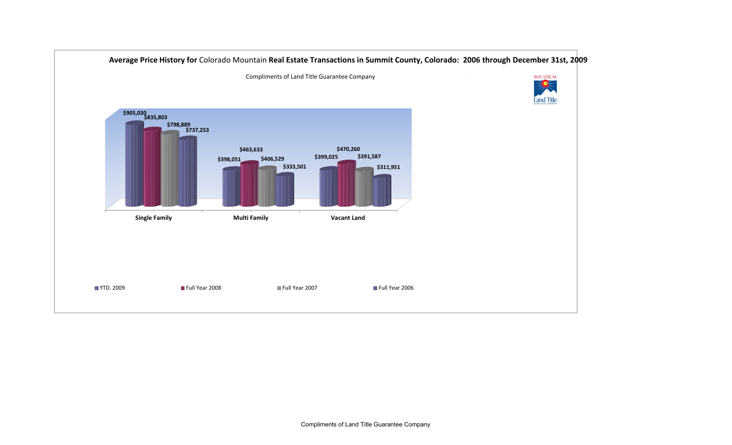